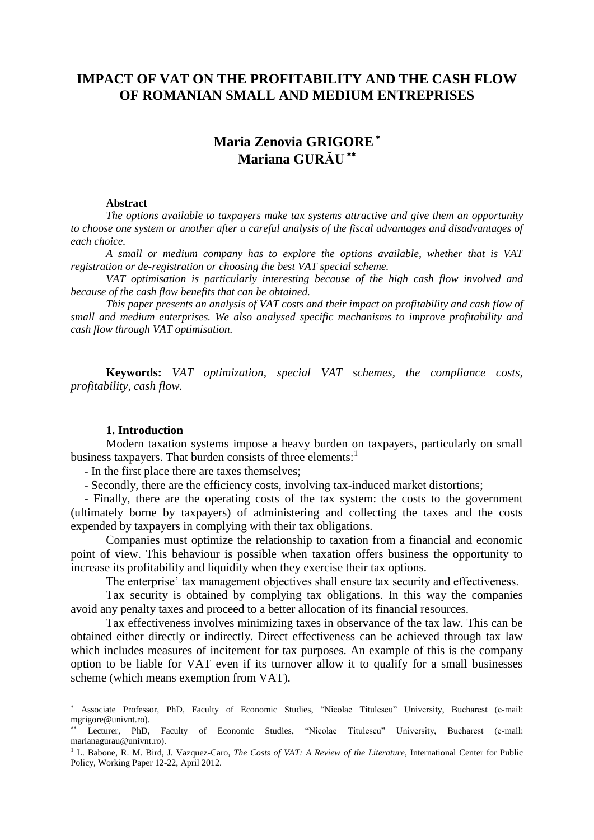## **IMPACT OF VAT ON THE PROFITABILITY AND THE CASH FLOW OF ROMANIAN SMALL AND MEDIUM ENTREPRISES**

# **Maria Zenovia GRIGORE Mariana GURĂU**

#### **Abstract**

*The options available to taxpayers make tax systems attractive and give them an opportunity to choose one system or another after a careful analysis of the fiscal advantages and disadvantages of each choice.*

*A small or medium company has to explore the options available, whether that is VAT registration or de-registration or choosing the best VAT special scheme.*

*VAT optimisation is particularly interesting because of the high cash flow involved and because of the cash flow benefits that can be obtained.*

*This paper presents an analysis of VAT costs and their impact on profitability and cash flow of small and medium enterprises. We also analysed specific mechanisms to improve profitability and cash flow through VAT optimisation.*

**Keywords:** *VAT optimization, special VAT schemes, the compliance costs, profitability, cash flow.*

#### **1. Introduction**

 $\overline{a}$ 

Modern taxation systems impose a heavy burden on taxpayers, particularly on small business taxpayers. That burden consists of three elements:

- In the first place there are taxes themselves;

- Secondly, there are the efficiency costs, involving tax-induced market distortions;

- Finally, there are the operating costs of the tax system: the costs to the government (ultimately borne by taxpayers) of administering and collecting the taxes and the costs expended by taxpayers in complying with their tax obligations.

Companies must optimize the relationship to taxation from a financial and economic point of view. This behaviour is possible when taxation offers business the opportunity to increase its profitability and liquidity when they exercise their tax options.

The enterprise' tax management objectives shall ensure tax security and effectiveness.

Tax security is obtained by complying tax obligations. In this way the companies avoid any penalty taxes and proceed to a better allocation of its financial resources.

Tax effectiveness involves minimizing taxes in observance of the tax law. This can be obtained either directly or indirectly. Direct effectiveness can be achieved through tax law which includes measures of incitement for tax purposes. An example of this is the company option to be liable for VAT even if its turnover allow it to qualify for a small businesses scheme (which means exemption from VAT).

Associate Professor, PhD, Faculty of Economic Studies, "Nicolae Titulescu" University, Bucharest (e-mail: mgrigore@univnt.ro).

Lecturer, PhD, Faculty of Economic Studies, "Nicolae Titulescu" University, Bucharest (e-mail: marianagurau@univnt.ro).

<sup>&</sup>lt;sup>1</sup> L. Babone, R. M. Bird, J. Vazquez-Caro, *The Costs of VAT: A Review of the Literature*, International Center for Public Policy, Working Paper 12-22, April 2012.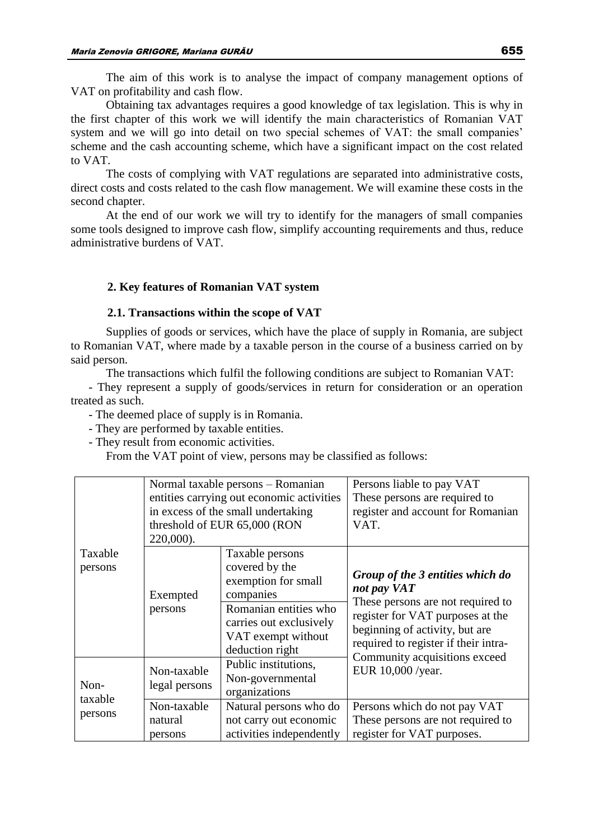The aim of this work is to analyse the impact of company management options of VAT on profitability and cash flow.

Obtaining tax advantages requires a good knowledge of tax legislation. This is why in the first chapter of this work we will identify the main characteristics of Romanian VAT system and we will go into detail on two special schemes of VAT: the small companies' scheme and the cash accounting scheme, which have a significant impact on the cost related to VAT.

The costs of complying with VAT regulations are separated into administrative costs, direct costs and costs related to the cash flow management. We will examine these costs in the second chapter.

At the end of our work we will try to identify for the managers of small companies some tools designed to improve cash flow, simplify accounting requirements and thus, reduce administrative burdens of VAT.

## **2. Key features of Romanian VAT system**

#### **2.1. Transactions within the scope of VAT**

Supplies of goods or services, which have the place of supply in Romania, are subject to Romanian VAT, where made by a taxable person in the course of a business carried on by said person.

The transactions which fulfil the following conditions are subject to Romanian VAT:

- They represent a supply of goods/services in return for consideration or an operation treated as such.

- The deemed place of supply is in Romania.

- They are performed by taxable entities.

- They result from economic activities.

From the VAT point of view, persons may be classified as follows:

|                            | 220,000).                         | Normal taxable persons - Romanian<br>entities carrying out economic activities<br>in excess of the small undertaking<br>threshold of EUR 65,000 (RON               | Persons liable to pay VAT<br>These persons are required to<br>register and account for Romanian<br>VAT.                                                                                            |
|----------------------------|-----------------------------------|--------------------------------------------------------------------------------------------------------------------------------------------------------------------|----------------------------------------------------------------------------------------------------------------------------------------------------------------------------------------------------|
| Taxable<br>persons         | Exempted<br>persons               | Taxable persons<br>covered by the<br>exemption for small<br>companies<br>Romanian entities who<br>carries out exclusively<br>VAT exempt without<br>deduction right | Group of the 3 entities which do<br>not pay VAT<br>These persons are not required to<br>register for VAT purposes at the<br>beginning of activity, but are<br>required to register if their intra- |
| Non-<br>taxable<br>persons | Non-taxable<br>legal persons      | Public institutions,<br>Non-governmental<br>organizations                                                                                                          | Community acquisitions exceed<br>EUR 10,000 /year.                                                                                                                                                 |
|                            | Non-taxable<br>natural<br>persons | Natural persons who do<br>not carry out economic<br>activities independently                                                                                       | Persons which do not pay VAT<br>These persons are not required to<br>register for VAT purposes.                                                                                                    |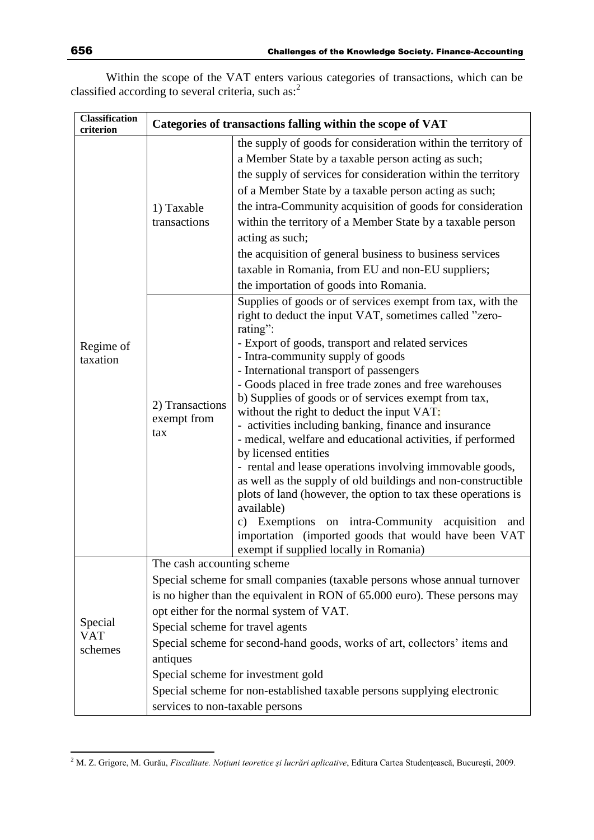Within the scope of the VAT enters various categories of transactions, which can be classified according to several criteria, such as: $^2$ 

| <b>Classification</b><br>criterion | Categories of transactions falling within the scope of VAT                                                    |                                                                                                                                                                                                                                                                                                                                                                                                                                                                                                                                                                                                                                                                                                                                                                                                                                                                                                              |  |
|------------------------------------|---------------------------------------------------------------------------------------------------------------|--------------------------------------------------------------------------------------------------------------------------------------------------------------------------------------------------------------------------------------------------------------------------------------------------------------------------------------------------------------------------------------------------------------------------------------------------------------------------------------------------------------------------------------------------------------------------------------------------------------------------------------------------------------------------------------------------------------------------------------------------------------------------------------------------------------------------------------------------------------------------------------------------------------|--|
| Regime of<br>taxation              | 1) Taxable<br>transactions                                                                                    | the supply of goods for consideration within the territory of<br>a Member State by a taxable person acting as such;<br>the supply of services for consideration within the territory<br>of a Member State by a taxable person acting as such;<br>the intra-Community acquisition of goods for consideration<br>within the territory of a Member State by a taxable person<br>acting as such;<br>the acquisition of general business to business services<br>taxable in Romania, from EU and non-EU suppliers;<br>the importation of goods into Romania.                                                                                                                                                                                                                                                                                                                                                      |  |
|                                    | 2) Transactions<br>exempt from<br>tax                                                                         | Supplies of goods or of services exempt from tax, with the<br>right to deduct the input VAT, sometimes called "zero-<br>rating":<br>- Export of goods, transport and related services<br>- Intra-community supply of goods<br>- International transport of passengers<br>- Goods placed in free trade zones and free warehouses<br>b) Supplies of goods or of services exempt from tax,<br>without the right to deduct the input VAT:<br>- activities including banking, finance and insurance<br>- medical, welfare and educational activities, if performed<br>by licensed entities<br>- rental and lease operations involving immovable goods,<br>as well as the supply of old buildings and non-constructible<br>plots of land (however, the option to tax these operations is<br>available)<br>c) Exemptions on intra-Community acquisition and<br>importation (imported goods that would have been VAT |  |
| Special<br><b>VAT</b><br>schemes   | The cash accounting scheme<br>Special scheme for travel agents<br>antiques<br>services to non-taxable persons | exempt if supplied locally in Romania)<br>Special scheme for small companies (taxable persons whose annual turnover<br>is no higher than the equivalent in RON of 65.000 euro). These persons may<br>opt either for the normal system of VAT.<br>Special scheme for second-hand goods, works of art, collectors' items and<br>Special scheme for investment gold<br>Special scheme for non-established taxable persons supplying electronic                                                                                                                                                                                                                                                                                                                                                                                                                                                                  |  |

 $\overline{a}$ 

<sup>2</sup> M. Z. Grigore, M. Gurău, *Fiscalitate. Noţiuni teoretice şi lucrări aplicative*, Editura Cartea Studenţească, Bucureşti, 2009.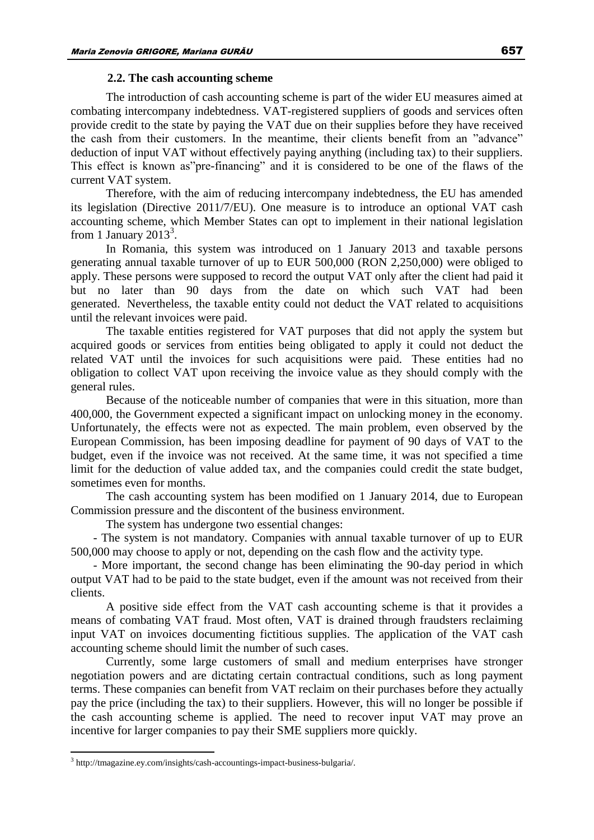#### **2.2. The cash accounting scheme**

The introduction of cash accounting scheme is part of the wider EU measures aimed at combating intercompany indebtedness. VAT-registered suppliers of goods and services often provide credit to the state by paying the VAT due on their supplies before they have received the cash from their customers. In the meantime, their clients benefit from an "advance" deduction of input VAT without effectively paying anything (including tax) to their suppliers. This effect is known as"pre-financing" and it is considered to be one of the flaws of the current VAT system.

Therefore, with the aim of reducing intercompany indebtedness, the EU has amended its legislation (Directive 2011/7/EU). One measure is to introduce an optional VAT cash accounting scheme, which Member States can opt to implement in their national legislation from 1 January 2013<sup>3</sup>.

In Romania, this system was introduced on 1 January 2013 and taxable persons generating annual taxable turnover of up to EUR 500,000 (RON 2,250,000) were obliged to apply. These persons were supposed to record the output VAT only after the client had paid it but no later than 90 days from the date on which such VAT had been generated. Nevertheless, the taxable entity could not deduct the VAT related to acquisitions until the relevant invoices were paid.

The taxable entities registered for VAT purposes that did not apply the system but acquired goods or services from entities being obligated to apply it could not deduct the related VAT until the invoices for such acquisitions were paid. These entities had no obligation to collect VAT upon receiving the invoice value as they should comply with the general rules.

Because of the noticeable number of companies that were in this situation, more than 400,000, the Government expected a significant impact on unlocking money in the economy. Unfortunately, the effects were not as expected. The main problem, even observed by the European Commission, has been imposing deadline for payment of 90 days of VAT to the budget, even if the invoice was not received. At the same time, it was not specified a time limit for the deduction of value added tax, and the companies could credit the state budget, sometimes even for months.

The cash accounting system has been modified on 1 January 2014, due to European Commission pressure and the discontent of the business environment.

The system has undergone two essential changes:

- The system is not mandatory. Companies with annual taxable turnover of up to EUR 500,000 may choose to apply or not, depending on the cash flow and the activity type.

- More important, the second change has been eliminating the 90-day period in which output VAT had to be paid to the state budget, even if the amount was not received from their clients.

A positive side effect from the VAT cash accounting scheme is that it provides a means of combating VAT fraud. Most often, VAT is drained through fraudsters reclaiming input VAT on invoices documenting fictitious supplies. The application of the VAT cash accounting scheme should limit the number of such cases.

Currently, some large customers of small and medium enterprises have stronger negotiation powers and are dictating certain contractual conditions, such as long payment terms. These companies can benefit from VAT reclaim on their purchases before they actually pay the price (including the tax) to their suppliers. However, this will no longer be possible if the cash accounting scheme is applied. The need to recover input VAT may prove an incentive for larger companies to pay their SME suppliers more quickly.

 $\overline{a}$ 

<sup>&</sup>lt;sup>3</sup> http://tmagazine.ey.com/insights/cash-accountings-impact-business-bulgaria/.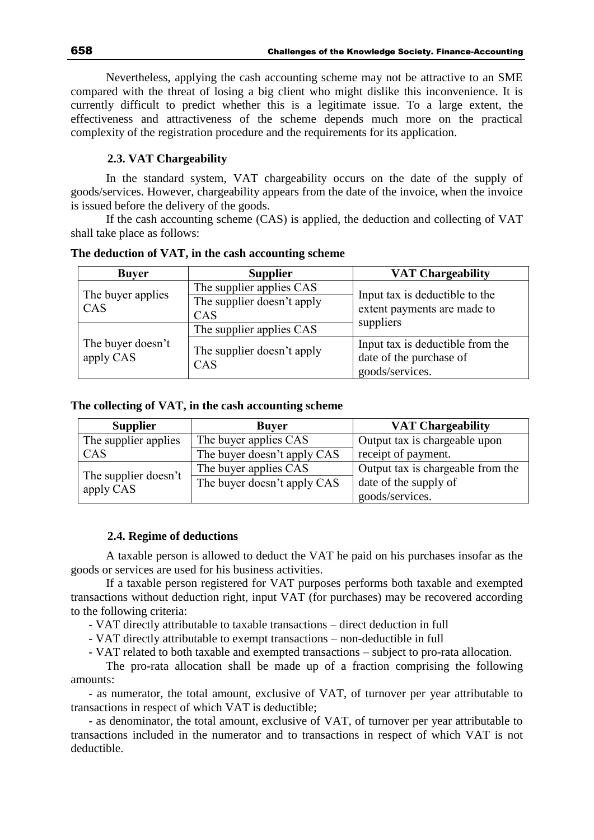Nevertheless, applying the cash accounting scheme may not be attractive to an SME compared with the threat of losing a big client who might dislike this inconvenience. It is currently difficult to predict whether this is a legitimate issue. To a large extent, the effectiveness and attractiveness of the scheme depends much more on the practical complexity of the registration procedure and the requirements for its application.

## **2.3. VAT Chargeability**

In the standard system, VAT chargeability occurs on the date of the supply of goods/services. However, chargeability appears from the date of the invoice, when the invoice is issued before the delivery of the goods.

If the cash accounting scheme (CAS) is applied, the deduction and collecting of VAT shall take place as follows:

| <b>Buver</b>                   | <b>Supplier</b>                                               | <b>VAT Chargeability</b>                                                       |  |
|--------------------------------|---------------------------------------------------------------|--------------------------------------------------------------------------------|--|
| The buyer applies<br>CAS       | The supplier applies CAS<br>The supplier doesn't apply<br>CAS | Input tax is deductible to the<br>extent payments are made to                  |  |
|                                | The supplier applies CAS                                      | suppliers                                                                      |  |
| The buyer doesn't<br>apply CAS | The supplier doesn't apply<br>CAS                             | Input tax is deductible from the<br>date of the purchase of<br>goods/services. |  |

**The deduction of VAT, in the cash accounting scheme**

#### **The collecting of VAT, in the cash accounting scheme**

| <b>Supplier</b>                   | <b>Buyer</b>                | <b>VAT Chargeability</b>          |
|-----------------------------------|-----------------------------|-----------------------------------|
| The supplier applies              | The buyer applies CAS       | Output tax is chargeable upon     |
| CAS                               | The buyer doesn't apply CAS | receipt of payment.               |
|                                   | The buyer applies CAS       | Output tax is chargeable from the |
| The supplier doesn't<br>apply CAS | The buyer doesn't apply CAS | date of the supply of             |
|                                   |                             | goods/services.                   |

## **2.4. Regime of deductions**

A taxable person is allowed to deduct the VAT he paid on his purchases insofar as the goods or services are used for his business activities.

If a taxable person registered for VAT purposes performs both taxable and exempted transactions without deduction right, input VAT (for purchases) may be recovered according to the following criteria:

- VAT directly attributable to taxable transactions – direct deduction in full

- VAT directly attributable to exempt transactions – non-deductible in full

- VAT related to both taxable and exempted transactions – subject to pro-rata allocation.

The pro-rata allocation shall be made up of a fraction comprising the following amounts:

- as numerator, the total amount, exclusive of VAT, of turnover per year attributable to transactions in respect of which VAT is deductible;

- as denominator, the total amount, exclusive of VAT, of turnover per year attributable to transactions included in the numerator and to transactions in respect of which VAT is not deductible.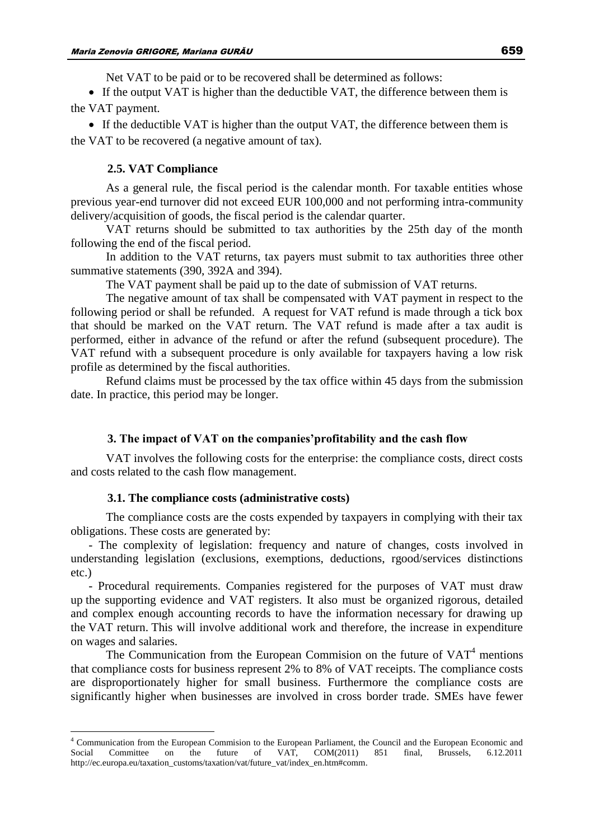Net VAT to be paid or to be recovered shall be determined as follows:

• If the output VAT is higher than the deductible VAT, the difference between them is the VAT payment.

 If the deductible VAT is higher than the output VAT, the difference between them is the VAT to be recovered (a negative amount of tax).

#### **2.5. VAT Compliance**

As a general rule, the fiscal period is the calendar month. For taxable entities whose previous year-end turnover did not exceed EUR 100,000 and not performing intra-community delivery/acquisition of goods, the fiscal period is the calendar quarter.

VAT returns should be submitted to tax authorities by the 25th day of the month following the end of the fiscal period.

In addition to the VAT returns, tax payers must submit to tax authorities three other summative statements (390, 392A and 394).

The VAT payment shall be paid up to the date of submission of VAT returns.

The negative amount of tax shall be compensated with VAT payment in respect to the following period or shall be refunded. A request for VAT refund is made through a tick box that should be marked on the VAT return. The VAT refund is made after a tax audit is performed, either in advance of the refund or after the refund (subsequent procedure). The VAT refund with a subsequent procedure is only available for taxpayers having a low risk profile as determined by the fiscal authorities.

Refund claims must be processed by the tax office within 45 days from the submission date. In practice, this period may be longer.

#### **3. The impact of VAT on the companies'profitability and the cash flow**

VAT involves the following costs for the enterprise: the compliance costs, direct costs and costs related to the cash flow management.

## **3.1. The compliance costs (administrative costs)**

 $\overline{a}$ 

The compliance costs are the costs expended by taxpayers in complying with their tax obligations. These costs are generated by:

- The complexity of legislation: frequency and nature of changes, costs involved in understanding legislation (exclusions, exemptions, deductions, rgood/services distinctions etc.)

- Procedural requirements. Companies registered for the purposes of VAT must draw up the supporting evidence and VAT registers. It also must be organized rigorous, detailed and complex enough accounting records to have the information necessary for drawing up the VAT return. This will involve additional work and therefore, the increase in expenditure on wages and salaries.

The Communication from the European Commision on the future of  $VAT<sup>4</sup>$  mentions that compliance costs for business represent 2% to 8% of VAT receipts. The compliance costs are disproportionately higher for small business. Furthermore the compliance costs are significantly higher when businesses are involved in cross border trade. SMEs have fewer

<sup>4</sup> Communication from the European Commision to the European Parliament, the Council and the European Economic and Social Committee on the future of VAT, COM(2011) 851 final, Brussels, 6.12.2011 http://ec.europa.eu/taxation\_customs/taxation/vat/future\_vat/index\_en.htm#comm.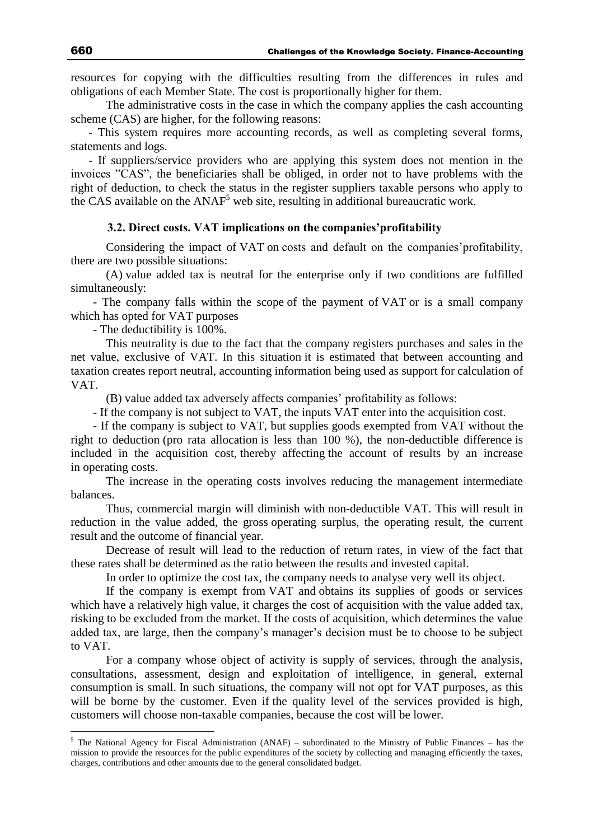resources for copying with the difficulties resulting from the differences in rules and obligations of each Member State. The cost is proportionally higher for them.

The administrative costs in the case in which the company applies the cash accounting scheme (CAS) are higher, for the following reasons:

- This system requires more accounting records, as well as completing several forms, statements and logs.

- If suppliers/service providers who are applying this system does not mention in the invoices "CAS", the beneficiaries shall be obliged, in order not to have problems with the right of deduction, to check the status in the register suppliers taxable persons who apply to the CAS available on the  $ANAF<sup>5</sup>$  web site, resulting in additional bureaucratic work.

## **3.2. Direct costs. VAT implications on the companies'profitability**

Considering the impact of VAT on costs and default on the companies'profitability, there are two possible situations:

(A) value added tax is neutral for the enterprise only if two conditions are fulfilled simultaneously:

- The company falls within the scope of the payment of VAT or is a small company which has opted for VAT purposes

- The deductibility is 100%.

This neutrality is due to the fact that the company registers purchases and sales in the net value, exclusive of VAT. In this situation it is estimated that between accounting and taxation creates report neutral, accounting information being used as support for calculation of VAT.

(B) value added tax adversely affects companies' profitability as follows:

- If the company is not subject to VAT, the inputs VAT enter into the acquisition cost.

- If the company is subject to VAT, but supplies goods exempted from VAT without the right to deduction (pro rata allocation is less than 100 %), the non-deductible difference is included in the acquisition cost, thereby affecting the account of results by an increase in operating costs.

The increase in the operating costs involves reducing the management intermediate balances.

Thus, commercial margin will diminish with non-deductible VAT. This will result in reduction in the value added, the gross operating surplus, the operating result, the current result and the outcome of financial year.

Decrease of result will lead to the reduction of return rates, in view of the fact that these rates shall be determined as the ratio between the results and invested capital.

In order to optimize the cost tax, the company needs to analyse very well its object.

If the company is exempt from VAT and obtains its supplies of goods or services which have a relatively high value, it charges the cost of acquisition with the value added tax, risking to be excluded from the market. If the costs of acquisition, which determines the value added tax, are large, then the company's manager's decision must be to choose to be subject to VAT.

For a company whose object of activity is supply of services, through the analysis, consultations, assessment, design and exploitation of intelligence, in general, external consumption is small. In such situations, the company will not opt for VAT purposes, as this will be borne by the customer. Even if the quality level of the services provided is high, customers will choose non-taxable companies, because the cost will be lower.

 $\overline{a}$ 

 $5$  The National Agency for Fiscal Administration (ANAF) – subordinated to the Ministry of Public Finances – has the mission to provide the resources for the public expenditures of the society by collecting and managing efficiently the taxes, charges, contributions and other amounts due to the general consolidated budget.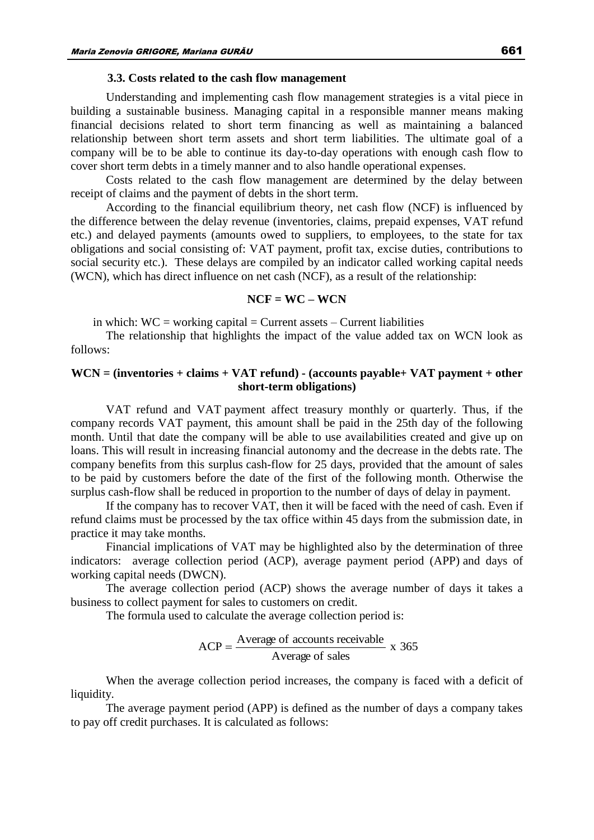#### **3.3. Costs related to the cash flow management**

Understanding and implementing cash flow management strategies is a vital piece in building a sustainable business. Managing capital in a responsible manner means making financial decisions related to short term financing as well as maintaining a balanced relationship between short term assets and short term liabilities. The ultimate goal of a company will be to be able to continue its day-to-day operations with enough cash flow to cover short term debts in a timely manner and to also handle operational expenses.

Costs related to the cash flow management are determined by the delay between receipt of claims and the payment of debts in the short term.

According to the financial equilibrium theory, net cash flow (NCF) is influenced by the difference between the delay revenue (inventories, claims, prepaid expenses, VAT refund etc.) and delayed payments (amounts owed to suppliers, to employees, to the state for tax obligations and social consisting of: VAT payment, profit tax, excise duties, contributions to social security etc.). These delays are compiled by an indicator called working capital needs (WCN), which has direct influence on net cash (NCF), as a result of the relationship:

#### **NCF = WC – WCN**

in which:  $WC = working capital = Current assets - Current liabilities$ 

The relationship that highlights the impact of the value added tax on WCN look as follows:

## **WCN = (inventories + claims + VAT refund) - (accounts payable+ VAT payment + other short-term obligations)**

VAT refund and VAT payment affect treasury monthly or quarterly. Thus, if the company records VAT payment, this amount shall be paid in the 25th day of the following month. Until that date the company will be able to use availabilities created and give up on loans. This will result in increasing financial autonomy and the decrease in the debts rate. The company benefits from this surplus cash-flow for 25 days, provided that the amount of sales to be paid by customers before the date of the first of the following month. Otherwise the surplus cash-flow shall be reduced in proportion to the number of days of delay in payment.

If the company has to recover VAT, then it will be faced with the need of cash. Even if refund claims must be processed by the tax office within 45 days from the submission date, in practice it may take months.

Financial implications of VAT may be highlighted also by the determination of three indicators: average collection period (ACP), average payment period (APP) and days of working capital needs (DWCN).

The average collection period (ACP) shows the average number of days it takes a business to collect payment for sales to customers on credit.

The formula used to calculate the average collection period is:

$$
ACP = \frac{Average\ of\ accounts\ received\ be}{Average\ of\ sales}
$$
x 365

When the average collection period increases, the company is faced with a deficit of liquidity.

The average payment period (APP) is defined as the number of days a company takes to pay off credit purchases. It is calculated as follows: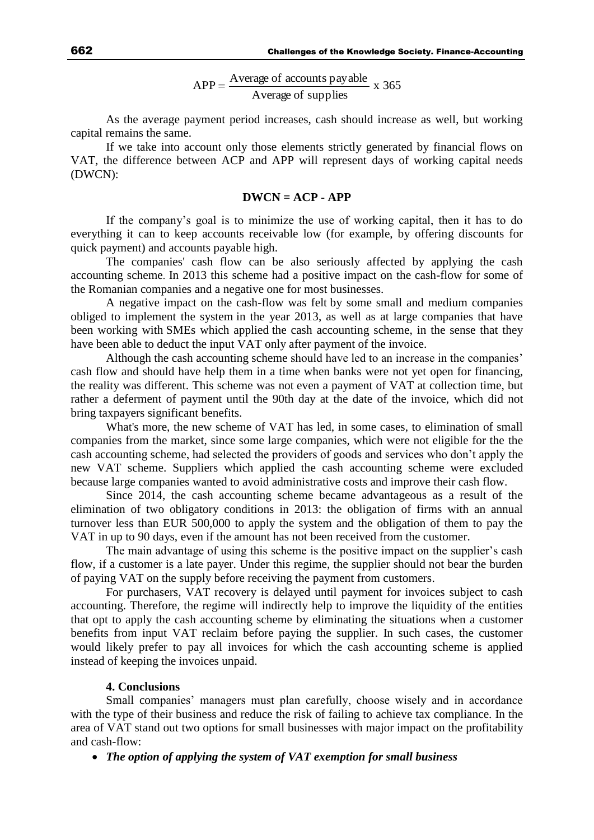x 365 Average of supplies  $APP = \frac{Average \space of \space accounts \space payable}{APP}$ 

As the average payment period increases, cash should increase as well, but working capital remains the same.

If we take into account only those elements strictly generated by financial flows on VAT, the difference between ACP and APP will represent days of working capital needs (DWCN):

## **DWCN = ACP - APP**

If the company's goal is to minimize the use of working capital, then it has to do everything it can to keep accounts receivable low (for example, by offering discounts for quick payment) and accounts payable high.

The companies' cash flow can be also seriously affected by applying the cash accounting scheme. In 2013 this scheme had a positive impact on the cash-flow for some of the Romanian companies and a negative one for most businesses.

A negative impact on the cash-flow was felt by some small and medium companies obliged to implement the system in the year 2013, as well as at large companies that have been working with SMEs which applied the cash accounting scheme, in the sense that they have been able to deduct the input VAT only after payment of the invoice.

Although the cash accounting scheme should have led to an increase in the companies' cash flow and should have help them in a time when banks were not yet open for financing, the reality was different. This scheme was not even a payment of VAT at collection time, but rather a deferment of payment until the 90th day at the date of the invoice, which did not bring taxpayers significant benefits.

What's more, the new scheme of VAT has led, in some cases, to elimination of small companies from the market, since some large companies, which were not eligible for the the cash accounting scheme, had selected the providers of goods and services who don't apply the new VAT scheme. Suppliers which applied the cash accounting scheme were excluded because large companies wanted to avoid administrative costs and improve their cash flow.

Since 2014, the cash accounting scheme became advantageous as a result of the elimination of two obligatory conditions in 2013: the obligation of firms with an annual turnover less than EUR 500,000 to apply the system and the obligation of them to pay the VAT in up to 90 days, even if the amount has not been received from the customer.

The main advantage of using this scheme is the positive impact on the supplier's cash flow, if a customer is a late payer. Under this regime, the supplier should not bear the burden of paying VAT on the supply before receiving the payment from customers.

For purchasers, VAT recovery is delayed until payment for invoices subject to cash accounting. Therefore, the regime will indirectly help to improve the liquidity of the entities that opt to apply the cash accounting scheme by eliminating the situations when a customer benefits from input VAT reclaim before paying the supplier. In such cases, the customer would likely prefer to pay all invoices for which the cash accounting scheme is applied instead of keeping the invoices unpaid.

## **4. Conclusions**

Small companies' managers must plan carefully, choose wisely and in accordance with the type of their business and reduce the risk of failing to achieve tax compliance. In the area of VAT stand out two options for small businesses with major impact on the profitability and cash-flow:

*The option of applying the system of VAT exemption for small business*